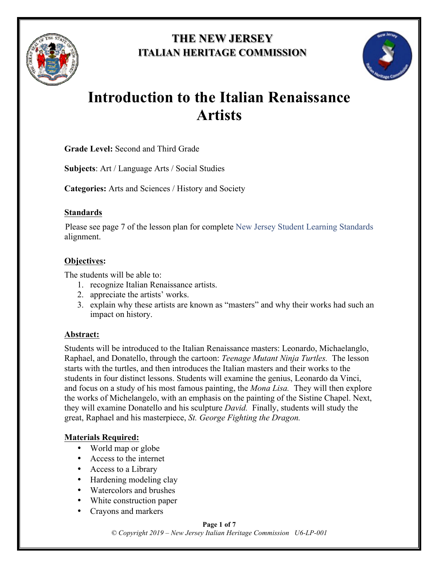

# **THE NEW JERSEY ITALIAN HERITAGE COMMISSION**



# **Introduction to the Italian Renaissance Artists**

**Grade Level:** Second and Third Grade

**Subjects**: Art / Language Arts / Social Studies

**Categories:** Arts and Sciences / History and Society

## **Standards**

Please see page 7 of the lesson plan for complete New Jersey Student Learning Standards alignment.

# **Objectives:**

The students will be able to:

- 1. recognize Italian Renaissance artists.
- 2. appreciate the artists' works.
- 3. explain why these artists are known as "masters" and why their works had such an impact on history.

# **Abstract:**

Students will be introduced to the Italian Renaissance masters: Leonardo, Michaelanglo, Raphael, and Donatello, through the cartoon: *Teenage Mutant Ninja Turtles.* The lesson starts with the turtles, and then introduces the Italian masters and their works to the students in four distinct lessons. Students will examine the genius, Leonardo da Vinci, and focus on a study of his most famous painting, the *Mona Lisa.* They will then explore the works of Michelangelo, with an emphasis on the painting of the Sistine Chapel. Next, they will examine Donatello and his sculpture *David.* Finally, students will study the great, Raphael and his masterpiece, *St. George Fighting the Dragon.* 

# **Materials Required:**

- World map or globe
- Access to the internet
- Access to a Library
- Hardening modeling clay
- Watercolors and brushes
- White construction paper
- Crayons and markers

#### **Page 1 of 7**

*© Copyright 2019 – New Jersey Italian Heritage Commission U6-LP-001*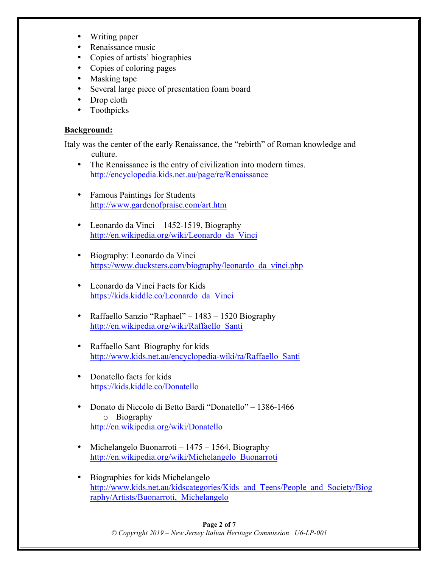- Writing paper
- Renaissance music
- Copies of artists' biographies
- Copies of coloring pages
- Masking tape
- Several large piece of presentation foam board
- Drop cloth
- Toothpicks

## **Background:**

Italy was the center of the early Renaissance, the "rebirth" of Roman knowledge and culture.

- The Renaissance is the entry of civilization into modern times. http://encyclopedia.kids.net.au/page/re/Renaissance
- Famous Paintings for Students http://www.gardenofpraise.com/art.htm
- Leonardo da Vinci 1452-1519, Biography http://en.wikipedia.org/wiki/Leonardo\_da\_Vinci
- Biography: Leonardo da Vinci https://www.ducksters.com/biography/leonardo\_da\_vinci.php
- Leonardo da Vinci Facts for Kids https://kids.kiddle.co/Leonardo\_da\_Vinci
- Raffaello Sanzio "Raphael" 1483 1520 Biography http://en.wikipedia.org/wiki/Raffaello\_Santi
- Raffaello Sant Biography for kids http://www.kids.net.au/encyclopedia-wiki/ra/Raffaello\_Santi
- Donatello facts for kids https://kids.kiddle.co/Donatello
- Donato di Niccolo di Betto Bardi "Donatello" 1386-1466 o Biography http://en.wikipedia.org/wiki/Donatello
- Michelangelo Buonarroti 1475 1564, Biography http://en.wikipedia.org/wiki/Michelangelo\_Buonarroti
- Biographies for kids Michelangelo http://www.kids.net.au/kidscategories/Kids\_and\_Teens/People\_and\_Society/Biog raphy/Artists/Buonarroti,\_Michelangelo

#### **Page 2 of 7** *© Copyright 2019 – New Jersey Italian Heritage Commission U6-LP-001*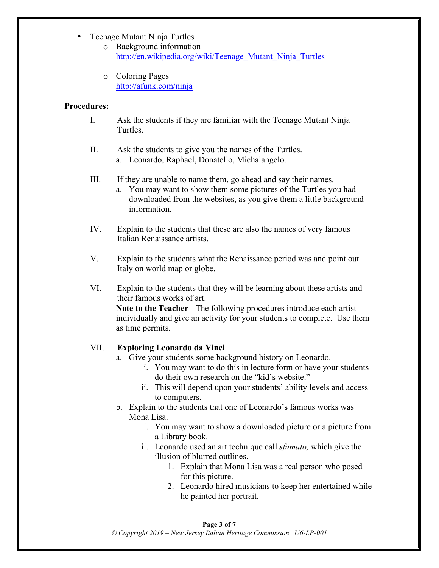- Teenage Mutant Ninja Turtles
	- o Background information http://en.wikipedia.org/wiki/Teenage\_Mutant\_Ninja\_Turtles
	- o Coloring Pages http://afunk.com/ninja

#### **Procedures:**

- I. Ask the students if they are familiar with the Teenage Mutant Ninja Turtles.
- II. Ask the students to give you the names of the Turtles. a. Leonardo, Raphael, Donatello, Michalangelo.
- III. If they are unable to name them, go ahead and say their names.
	- a. You may want to show them some pictures of the Turtles you had downloaded from the websites, as you give them a little background information.
- IV. Explain to the students that these are also the names of very famous Italian Renaissance artists.
- V. Explain to the students what the Renaissance period was and point out Italy on world map or globe.
- VI. Explain to the students that they will be learning about these artists and their famous works of art. **Note to the Teacher** - The following procedures introduce each artist individually and give an activity for your students to complete. Use them as time permits.

#### VII. **Exploring Leonardo da Vinci**

- a. Give your students some background history on Leonardo.
	- i. You may want to do this in lecture form or have your students do their own research on the "kid's website."
	- ii. This will depend upon your students' ability levels and access to computers.
- b. Explain to the students that one of Leonardo's famous works was Mona Lisa.
	- i. You may want to show a downloaded picture or a picture from a Library book.
	- ii. Leonardo used an art technique call *sfumato,* which give the illusion of blurred outlines.
		- 1. Explain that Mona Lisa was a real person who posed for this picture.
		- 2. Leonardo hired musicians to keep her entertained while he painted her portrait.

#### **Page 3 of 7**

*© Copyright 2019 – New Jersey Italian Heritage Commission U6-LP-001*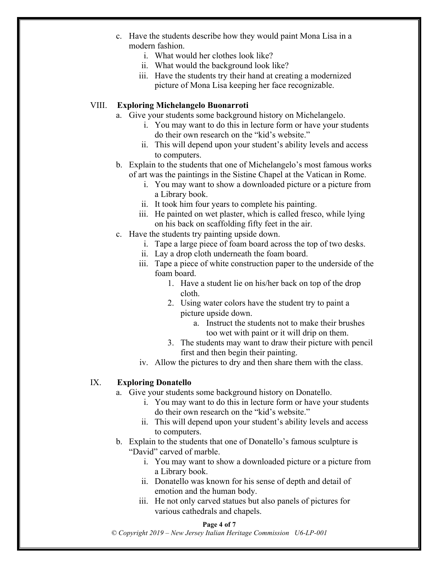- c. Have the students describe how they would paint Mona Lisa in a modern fashion.
	- i. What would her clothes look like?
	- ii. What would the background look like?
	- iii. Have the students try their hand at creating a modernized picture of Mona Lisa keeping her face recognizable.

#### VIII. **Exploring Michelangelo Buonarroti**

- a. Give your students some background history on Michelangelo.
	- i. You may want to do this in lecture form or have your students do their own research on the "kid's website."
	- ii. This will depend upon your student's ability levels and access to computers.
- b. Explain to the students that one of Michelangelo's most famous works of art was the paintings in the Sistine Chapel at the Vatican in Rome.
	- i. You may want to show a downloaded picture or a picture from a Library book.
	- ii. It took him four years to complete his painting.
	- iii. He painted on wet plaster, which is called fresco, while lying on his back on scaffolding fifty feet in the air.
- c. Have the students try painting upside down.
	- i. Tape a large piece of foam board across the top of two desks.
	- ii. Lay a drop cloth underneath the foam board.
	- iii. Tape a piece of white construction paper to the underside of the foam board.
		- 1. Have a student lie on his/her back on top of the drop cloth.
		- 2. Using water colors have the student try to paint a picture upside down.
			- a. Instruct the students not to make their brushes too wet with paint or it will drip on them.
		- 3. The students may want to draw their picture with pencil first and then begin their painting.
	- iv. Allow the pictures to dry and then share them with the class.

#### IX. **Exploring Donatello**

- a. Give your students some background history on Donatello.
	- i. You may want to do this in lecture form or have your students do their own research on the "kid's website."
	- ii. This will depend upon your student's ability levels and access to computers.
- b. Explain to the students that one of Donatello's famous sculpture is "David" carved of marble.
	- i. You may want to show a downloaded picture or a picture from a Library book.
	- ii. Donatello was known for his sense of depth and detail of emotion and the human body.
	- iii. He not only carved statues but also panels of pictures for various cathedrals and chapels.

#### **Page 4 of 7**

*© Copyright 2019 – New Jersey Italian Heritage Commission U6-LP-001*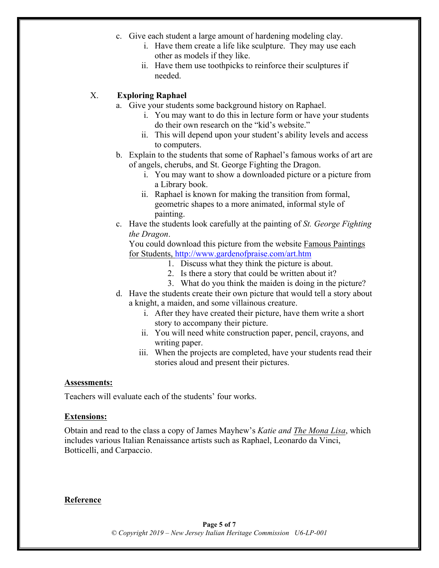- c. Give each student a large amount of hardening modeling clay.
	- i. Have them create a life like sculpture. They may use each other as models if they like.
	- ii. Have them use toothpicks to reinforce their sculptures if needed.

## X. **Exploring Raphael**

- a. Give your students some background history on Raphael.
	- i. You may want to do this in lecture form or have your students do their own research on the "kid's website."
	- ii. This will depend upon your student's ability levels and access to computers.
- b. Explain to the students that some of Raphael's famous works of art are of angels, cherubs, and St. George Fighting the Dragon.
	- i. You may want to show a downloaded picture or a picture from a Library book.
	- ii. Raphael is known for making the transition from formal, geometric shapes to a more animated, informal style of painting.
- c. Have the students look carefully at the painting of *St. George Fighting the Dragon*.

You could download this picture from the website Famous Paintings for Students, http://www.gardenofpraise.com/art.htm

- 1. Discuss what they think the picture is about.
- 2. Is there a story that could be written about it?
- 3. What do you think the maiden is doing in the picture?
- d. Have the students create their own picture that would tell a story about a knight, a maiden, and some villainous creature.
	- i. After they have created their picture, have them write a short story to accompany their picture.
	- ii. You will need white construction paper, pencil, crayons, and writing paper.
	- iii. When the projects are completed, have your students read their stories aloud and present their pictures.

#### **Assessments:**

Teachers will evaluate each of the students' four works.

#### **Extensions:**

Obtain and read to the class a copy of James Mayhew's *Katie and The Mona Lisa*, which includes various Italian Renaissance artists such as Raphael, Leonardo da Vinci, Botticelli, and Carpaccio.

#### **Reference**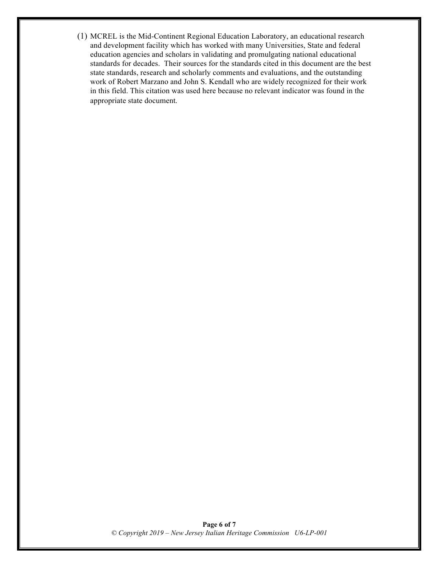(1) MCREL is the Mid-Continent Regional Education Laboratory, an educational research and development facility which has worked with many Universities, State and federal education agencies and scholars in validating and promulgating national educational standards for decades. Their sources for the standards cited in this document are the best state standards, research and scholarly comments and evaluations, and the outstanding work of Robert Marzano and John S. Kendall who are widely recognized for their work in this field. This citation was used here because no relevant indicator was found in the appropriate state document*.*